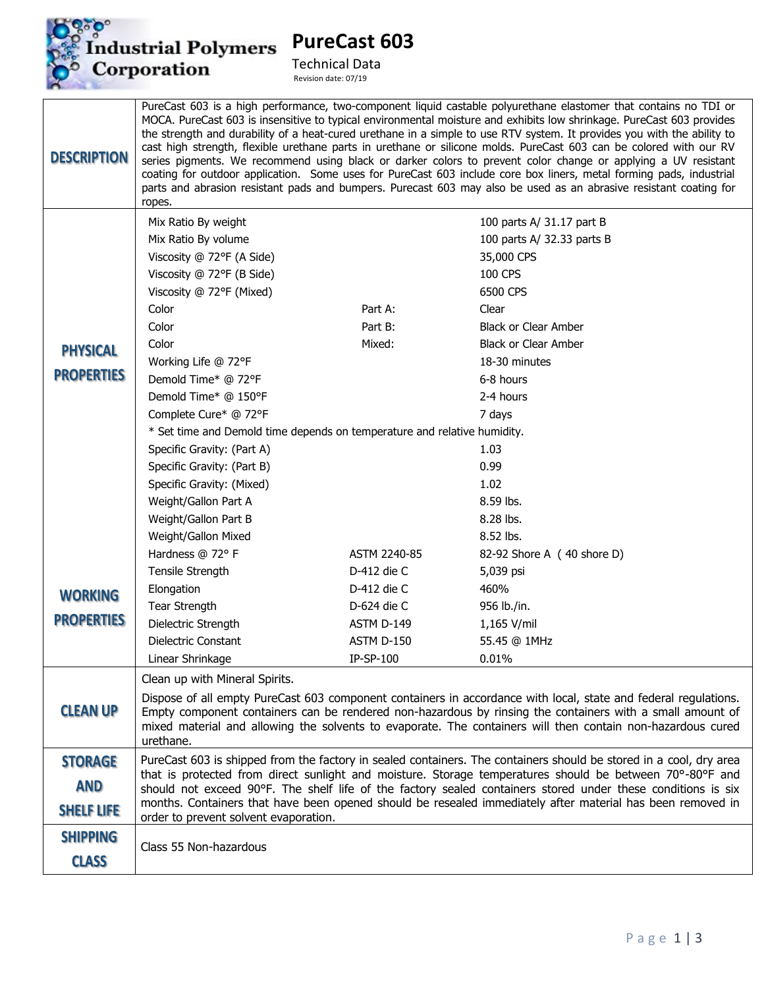

**PureCast 603** 

Technical Data<br>Revision date: 07/19

| <b>DESCRIPTION</b> | PureCast 603 is a high performance, two-component liquid castable polyurethane elastomer that contains no TDI or<br>MOCA. PureCast 603 is insensitive to typical environmental moisture and exhibits low shrinkage. PureCast 603 provides<br>the strength and durability of a heat-cured urethane in a simple to use RTV system. It provides you with the ability to<br>cast high strength, flexible urethane parts in urethane or silicone molds. PureCast 603 can be colored with our RV<br>series pigments. We recommend using black or darker colors to prevent color change or applying a UV resistant<br>coating for outdoor application. Some uses for PureCast 603 include core box liners, metal forming pads, industrial<br>parts and abrasion resistant pads and bumpers. Purecast 603 may also be used as an abrasive resistant coating for<br>ropes. |              |                                                                                                                    |  |
|--------------------|-------------------------------------------------------------------------------------------------------------------------------------------------------------------------------------------------------------------------------------------------------------------------------------------------------------------------------------------------------------------------------------------------------------------------------------------------------------------------------------------------------------------------------------------------------------------------------------------------------------------------------------------------------------------------------------------------------------------------------------------------------------------------------------------------------------------------------------------------------------------|--------------|--------------------------------------------------------------------------------------------------------------------|--|
|                    | Mix Ratio By weight                                                                                                                                                                                                                                                                                                                                                                                                                                                                                                                                                                                                                                                                                                                                                                                                                                               |              | 100 parts A/ 31.17 part B                                                                                          |  |
|                    | Mix Ratio By volume                                                                                                                                                                                                                                                                                                                                                                                                                                                                                                                                                                                                                                                                                                                                                                                                                                               |              | 100 parts A/ 32.33 parts B                                                                                         |  |
|                    | Viscosity @ 72°F (A Side)                                                                                                                                                                                                                                                                                                                                                                                                                                                                                                                                                                                                                                                                                                                                                                                                                                         |              | 35,000 CPS                                                                                                         |  |
|                    | Viscosity @ 72°F (B Side)                                                                                                                                                                                                                                                                                                                                                                                                                                                                                                                                                                                                                                                                                                                                                                                                                                         |              | 100 CPS                                                                                                            |  |
|                    | Viscosity @ 72°F (Mixed)                                                                                                                                                                                                                                                                                                                                                                                                                                                                                                                                                                                                                                                                                                                                                                                                                                          |              | 6500 CPS                                                                                                           |  |
|                    | Color                                                                                                                                                                                                                                                                                                                                                                                                                                                                                                                                                                                                                                                                                                                                                                                                                                                             | Part A:      | Clear                                                                                                              |  |
|                    | Color                                                                                                                                                                                                                                                                                                                                                                                                                                                                                                                                                                                                                                                                                                                                                                                                                                                             | Part B:      | <b>Black or Clear Amber</b>                                                                                        |  |
| <b>PHYSICAL</b>    | Color                                                                                                                                                                                                                                                                                                                                                                                                                                                                                                                                                                                                                                                                                                                                                                                                                                                             | Mixed:       | <b>Black or Clear Amber</b>                                                                                        |  |
| <b>PROPERTIES</b>  | Working Life @ 72°F                                                                                                                                                                                                                                                                                                                                                                                                                                                                                                                                                                                                                                                                                                                                                                                                                                               |              | 18-30 minutes                                                                                                      |  |
|                    | Demold Time* @ 72°F                                                                                                                                                                                                                                                                                                                                                                                                                                                                                                                                                                                                                                                                                                                                                                                                                                               |              | 6-8 hours                                                                                                          |  |
|                    | Demold Time* @ 150°F                                                                                                                                                                                                                                                                                                                                                                                                                                                                                                                                                                                                                                                                                                                                                                                                                                              |              | 2-4 hours                                                                                                          |  |
|                    | Complete Cure* @ 72°F                                                                                                                                                                                                                                                                                                                                                                                                                                                                                                                                                                                                                                                                                                                                                                                                                                             |              | 7 days                                                                                                             |  |
|                    | * Set time and Demold time depends on temperature and relative humidity.                                                                                                                                                                                                                                                                                                                                                                                                                                                                                                                                                                                                                                                                                                                                                                                          |              |                                                                                                                    |  |
|                    | Specific Gravity: (Part A)                                                                                                                                                                                                                                                                                                                                                                                                                                                                                                                                                                                                                                                                                                                                                                                                                                        |              | 1.03                                                                                                               |  |
|                    | Specific Gravity: (Part B)                                                                                                                                                                                                                                                                                                                                                                                                                                                                                                                                                                                                                                                                                                                                                                                                                                        |              | 0.99                                                                                                               |  |
|                    | Specific Gravity: (Mixed)                                                                                                                                                                                                                                                                                                                                                                                                                                                                                                                                                                                                                                                                                                                                                                                                                                         |              | 1.02                                                                                                               |  |
|                    | Weight/Gallon Part A                                                                                                                                                                                                                                                                                                                                                                                                                                                                                                                                                                                                                                                                                                                                                                                                                                              |              | 8.59 lbs.                                                                                                          |  |
|                    | Weight/Gallon Part B                                                                                                                                                                                                                                                                                                                                                                                                                                                                                                                                                                                                                                                                                                                                                                                                                                              |              | 8.28 lbs.                                                                                                          |  |
|                    | Weight/Gallon Mixed                                                                                                                                                                                                                                                                                                                                                                                                                                                                                                                                                                                                                                                                                                                                                                                                                                               |              | 8.52 lbs.                                                                                                          |  |
|                    | Hardness @ 72° F                                                                                                                                                                                                                                                                                                                                                                                                                                                                                                                                                                                                                                                                                                                                                                                                                                                  | ASTM 2240-85 | 82-92 Shore A (40 shore D)                                                                                         |  |
|                    | Tensile Strength                                                                                                                                                                                                                                                                                                                                                                                                                                                                                                                                                                                                                                                                                                                                                                                                                                                  | D-412 die C  | 5,039 psi                                                                                                          |  |
| <b>WORKING</b>     | Elongation                                                                                                                                                                                                                                                                                                                                                                                                                                                                                                                                                                                                                                                                                                                                                                                                                                                        | D-412 die C  | 460%                                                                                                               |  |
| <b>PROPERTIES</b>  | <b>Tear Strength</b>                                                                                                                                                                                                                                                                                                                                                                                                                                                                                                                                                                                                                                                                                                                                                                                                                                              | D-624 die C  | 956 lb./in.                                                                                                        |  |
|                    | Dielectric Strength                                                                                                                                                                                                                                                                                                                                                                                                                                                                                                                                                                                                                                                                                                                                                                                                                                               | ASTM D-149   | 1,165 V/mil                                                                                                        |  |
|                    | Dielectric Constant                                                                                                                                                                                                                                                                                                                                                                                                                                                                                                                                                                                                                                                                                                                                                                                                                                               | ASTM D-150   | 55.45 @ 1MHz                                                                                                       |  |
|                    | Linear Shrinkage                                                                                                                                                                                                                                                                                                                                                                                                                                                                                                                                                                                                                                                                                                                                                                                                                                                  | $IP-SP-100$  | $0.01\%$                                                                                                           |  |
|                    | Clean up with Mineral Spirits.                                                                                                                                                                                                                                                                                                                                                                                                                                                                                                                                                                                                                                                                                                                                                                                                                                    |              |                                                                                                                    |  |
| <b>CLEAN UP</b>    | Dispose of all empty PureCast 603 component containers in accordance with local, state and federal regulations.<br>Empty component containers can be rendered non-hazardous by rinsing the containers with a small amount of<br>mixed material and allowing the solvents to evaporate. The containers will then contain non-hazardous cured<br>urethane.                                                                                                                                                                                                                                                                                                                                                                                                                                                                                                          |              |                                                                                                                    |  |
| <b>STORAGE</b>     |                                                                                                                                                                                                                                                                                                                                                                                                                                                                                                                                                                                                                                                                                                                                                                                                                                                                   |              | PureCast 603 is shipped from the factory in sealed containers. The containers should be stored in a cool, dry area |  |
| <b>AND</b>         | that is protected from direct sunlight and moisture. Storage temperatures should be between 70°-80°F and                                                                                                                                                                                                                                                                                                                                                                                                                                                                                                                                                                                                                                                                                                                                                          |              |                                                                                                                    |  |
|                    | should not exceed 90°F. The shelf life of the factory sealed containers stored under these conditions is six<br>months. Containers that have been opened should be resealed immediately after material has been removed in                                                                                                                                                                                                                                                                                                                                                                                                                                                                                                                                                                                                                                        |              |                                                                                                                    |  |
| <b>SHELF LIFE</b>  | order to prevent solvent evaporation.                                                                                                                                                                                                                                                                                                                                                                                                                                                                                                                                                                                                                                                                                                                                                                                                                             |              |                                                                                                                    |  |
| <b>SHIPPING</b>    | Class 55 Non-hazardous                                                                                                                                                                                                                                                                                                                                                                                                                                                                                                                                                                                                                                                                                                                                                                                                                                            |              |                                                                                                                    |  |
| <b>CLASS</b>       |                                                                                                                                                                                                                                                                                                                                                                                                                                                                                                                                                                                                                                                                                                                                                                                                                                                                   |              |                                                                                                                    |  |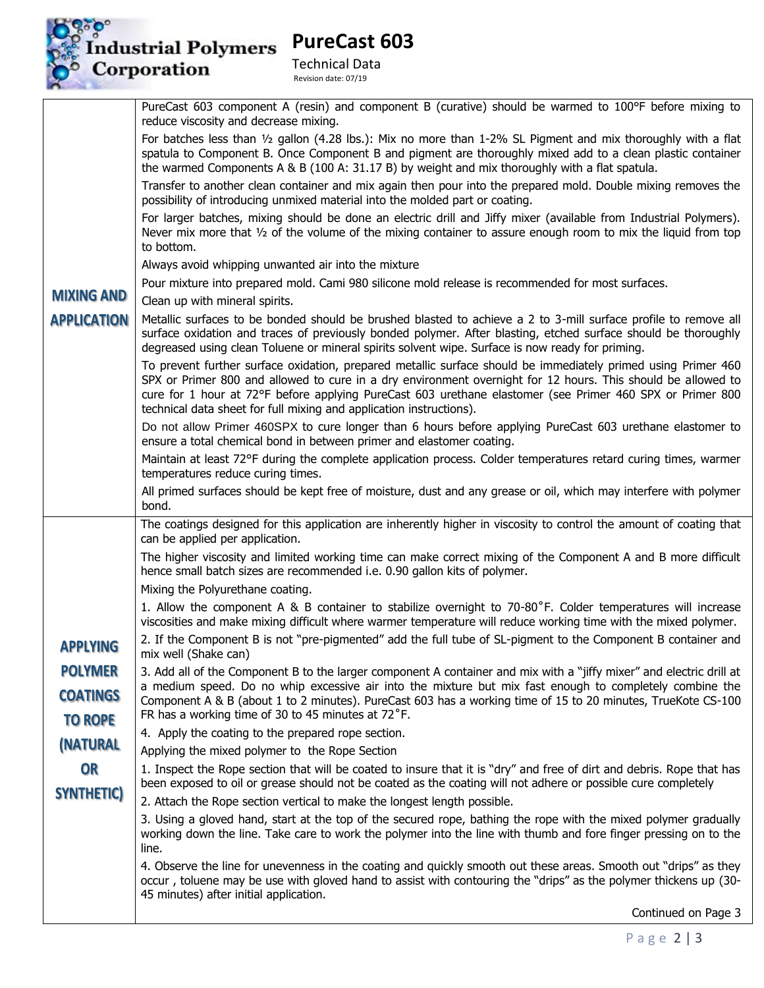

## Industrial Polymers<br>Corporation

**PureCast 603**

Technical Data Revision date: 07/19

|                                | PureCast 603 component A (resin) and component B (curative) should be warmed to 100°F before mixing to<br>reduce viscosity and decrease mixing.                                                                                                                                                                                                                                                                   |  |  |  |
|--------------------------------|-------------------------------------------------------------------------------------------------------------------------------------------------------------------------------------------------------------------------------------------------------------------------------------------------------------------------------------------------------------------------------------------------------------------|--|--|--|
|                                | For batches less than 1/2 gallon (4.28 lbs.): Mix no more than 1-2% SL Pigment and mix thoroughly with a flat<br>spatula to Component B. Once Component B and pigment are thoroughly mixed add to a clean plastic container<br>the warmed Components A & B (100 A: 31.17 B) by weight and mix thoroughly with a flat spatula.                                                                                     |  |  |  |
|                                | Transfer to another clean container and mix again then pour into the prepared mold. Double mixing removes the<br>possibility of introducing unmixed material into the molded part or coating.                                                                                                                                                                                                                     |  |  |  |
|                                | For larger batches, mixing should be done an electric drill and Jiffy mixer (available from Industrial Polymers).<br>Never mix more that $\frac{1}{2}$ of the volume of the mixing container to assure enough room to mix the liquid from top<br>to bottom.                                                                                                                                                       |  |  |  |
|                                | Always avoid whipping unwanted air into the mixture                                                                                                                                                                                                                                                                                                                                                               |  |  |  |
|                                | Pour mixture into prepared mold. Cami 980 silicone mold release is recommended for most surfaces.                                                                                                                                                                                                                                                                                                                 |  |  |  |
| <b>MIXING AND</b>              | Clean up with mineral spirits.                                                                                                                                                                                                                                                                                                                                                                                    |  |  |  |
| <b>APPLICATION</b>             | Metallic surfaces to be bonded should be brushed blasted to achieve a 2 to 3-mill surface profile to remove all<br>surface oxidation and traces of previously bonded polymer. After blasting, etched surface should be thoroughly<br>degreased using clean Toluene or mineral spirits solvent wipe. Surface is now ready for priming.                                                                             |  |  |  |
|                                | To prevent further surface oxidation, prepared metallic surface should be immediately primed using Primer 460<br>SPX or Primer 800 and allowed to cure in a dry environment overnight for 12 hours. This should be allowed to<br>cure for 1 hour at 72°F before applying PureCast 603 urethane elastomer (see Primer 460 SPX or Primer 800<br>technical data sheet for full mixing and application instructions). |  |  |  |
|                                | Do not allow Primer 460SPX to cure longer than 6 hours before applying PureCast 603 urethane elastomer to<br>ensure a total chemical bond in between primer and elastomer coating.                                                                                                                                                                                                                                |  |  |  |
|                                | Maintain at least 72°F during the complete application process. Colder temperatures retard curing times, warmer<br>temperatures reduce curing times.                                                                                                                                                                                                                                                              |  |  |  |
|                                | All primed surfaces should be kept free of moisture, dust and any grease or oil, which may interfere with polymer<br>bond.                                                                                                                                                                                                                                                                                        |  |  |  |
|                                | The coatings designed for this application are inherently higher in viscosity to control the amount of coating that<br>can be applied per application.                                                                                                                                                                                                                                                            |  |  |  |
|                                | The higher viscosity and limited working time can make correct mixing of the Component A and B more difficult<br>hence small batch sizes are recommended i.e. 0.90 gallon kits of polymer.                                                                                                                                                                                                                        |  |  |  |
|                                | Mixing the Polyurethane coating.                                                                                                                                                                                                                                                                                                                                                                                  |  |  |  |
|                                | 1. Allow the component A & B container to stabilize overnight to 70-80°F. Colder temperatures will increase<br>viscosities and make mixing difficult where warmer temperature will reduce working time with the mixed polymer.                                                                                                                                                                                    |  |  |  |
| <b>APPLYING</b>                | 2. If the Component B is not "pre-pigmented" add the full tube of SL-pigment to the Component B container and<br>mix well (Shake can)                                                                                                                                                                                                                                                                             |  |  |  |
| <b>POLYMER</b>                 | 3. Add all of the Component B to the larger component A container and mix with a "jiffy mixer" and electric drill at                                                                                                                                                                                                                                                                                              |  |  |  |
| <b>COATINGS</b>                | a medium speed. Do no whip excessive air into the mixture but mix fast enough to completely combine the<br>Component A & B (about 1 to 2 minutes). PureCast 603 has a working time of 15 to 20 minutes, TrueKote CS-100                                                                                                                                                                                           |  |  |  |
| <b>TO ROPE</b>                 | FR has a working time of 30 to 45 minutes at 72°F.                                                                                                                                                                                                                                                                                                                                                                |  |  |  |
| <i><b>(NATURAL</b></i>         | 4. Apply the coating to the prepared rope section.                                                                                                                                                                                                                                                                                                                                                                |  |  |  |
|                                | Applying the mixed polymer to the Rope Section                                                                                                                                                                                                                                                                                                                                                                    |  |  |  |
| <b>OR</b><br><b>SYNTHETIC)</b> | 1. Inspect the Rope section that will be coated to insure that it is "dry" and free of dirt and debris. Rope that has<br>been exposed to oil or grease should not be coated as the coating will not adhere or possible cure completely                                                                                                                                                                            |  |  |  |
|                                | 2. Attach the Rope section vertical to make the longest length possible.                                                                                                                                                                                                                                                                                                                                          |  |  |  |
|                                | 3. Using a gloved hand, start at the top of the secured rope, bathing the rope with the mixed polymer gradually<br>working down the line. Take care to work the polymer into the line with thumb and fore finger pressing on to the<br>line.                                                                                                                                                                      |  |  |  |
|                                | 4. Observe the line for unevenness in the coating and quickly smooth out these areas. Smooth out "drips" as they<br>occur, toluene may be use with gloved hand to assist with contouring the "drips" as the polymer thickens up (30-<br>45 minutes) after initial application.                                                                                                                                    |  |  |  |
|                                | Continued on Page 3                                                                                                                                                                                                                                                                                                                                                                                               |  |  |  |